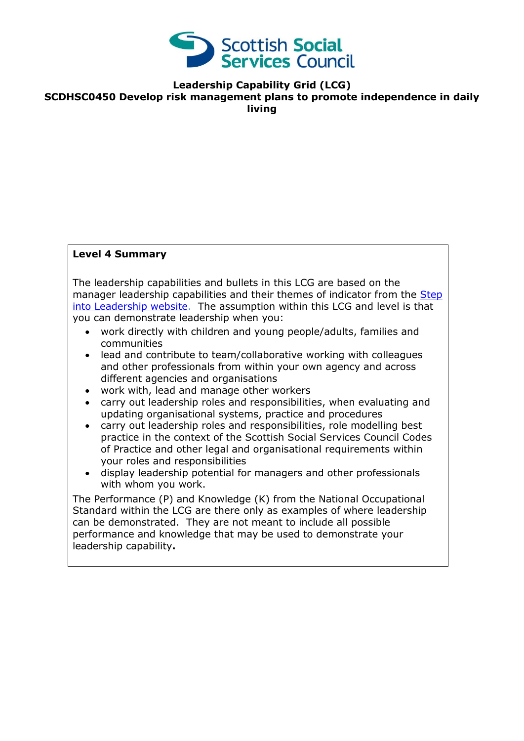

**Leadership Capability Grid (LCG)**

**SCDHSC0450 Develop risk management plans to promote independence in daily** 

**living**

### **Level 4 Summary**

The leadership capabilities and bullets in this LCG are based on the manager leadership capabilities and their themes of indicator from the Step [into Leadership website.](http://www.stepintoleadership.info/index.html) The assumption within this LCG and level is that you can demonstrate leadership when you:

- work directly with children and young people/adults, families and communities
- lead and contribute to team/collaborative working with colleagues and other professionals from within your own agency and across different agencies and organisations
- work with, lead and manage other workers
- carry out leadership roles and responsibilities, when evaluating and updating organisational systems, practice and procedures
- carry out leadership roles and responsibilities, role modelling best practice in the context of the Scottish Social Services Council Codes of Practice and other legal and organisational requirements within your roles and responsibilities
- display leadership potential for managers and other professionals with whom you work.

The Performance (P) and Knowledge (K) from the National Occupational Standard within the LCG are there only as examples of where leadership can be demonstrated. They are not meant to include all possible performance and knowledge that may be used to demonstrate your leadership capability**.**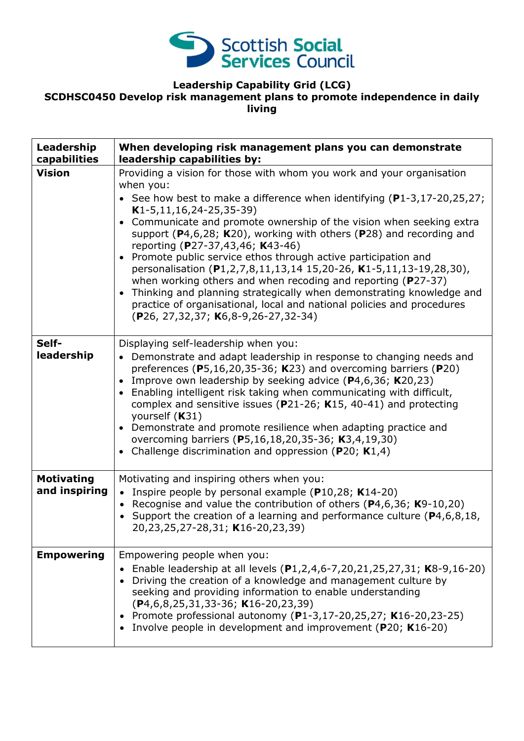

## **Leadership Capability Grid (LCG)**

# **SCDHSC0450 Develop risk management plans to promote independence in daily**

**living**

| Leadership<br>capabilities         | When developing risk management plans you can demonstrate<br>leadership capabilities by:                                                                                                                                                                                                                                                                                                                                                                                                                                                                                                                                                                                                                                                                                                                    |
|------------------------------------|-------------------------------------------------------------------------------------------------------------------------------------------------------------------------------------------------------------------------------------------------------------------------------------------------------------------------------------------------------------------------------------------------------------------------------------------------------------------------------------------------------------------------------------------------------------------------------------------------------------------------------------------------------------------------------------------------------------------------------------------------------------------------------------------------------------|
| <b>Vision</b>                      | Providing a vision for those with whom you work and your organisation<br>when you:<br>• See how best to make a difference when identifying $(P1-3, 17-20, 25, 27)$ ;<br>$K1-5, 11, 16, 24-25, 35-39)$<br>Communicate and promote ownership of the vision when seeking extra<br>support ( $P$ 4,6,28; K20), working with others ( $P$ 28) and recording and<br>reporting (P27-37,43,46; K43-46)<br>Promote public service ethos through active participation and<br>personalisation (P1,2,7,8,11,13,14 15,20-26, K1-5,11,13-19,28,30),<br>when working others and when recoding and reporting (P27-37)<br>Thinking and planning strategically when demonstrating knowledge and<br>$\bullet$<br>practice of organisational, local and national policies and procedures<br>(P26, 27,32,37; K6,8-9,26-27,32-34) |
| Self-<br>leadership                | Displaying self-leadership when you:<br>• Demonstrate and adapt leadership in response to changing needs and<br>preferences ( $P5,16,20,35-36$ ; K23) and overcoming barriers ( $P20$ )<br>Improve own leadership by seeking advice $(P4,6,36; K20,23)$<br>$\bullet$<br>Enabling intelligent risk taking when communicating with difficult,<br>$\bullet$<br>complex and sensitive issues ( $P$ 21-26; K15, 40-41) and protecting<br>yourself (K31)<br>Demonstrate and promote resilience when adapting practice and<br>overcoming barriers (P5,16,18,20,35-36; K3,4,19,30)<br>Challenge discrimination and oppression ( $P20$ ; K1,4)                                                                                                                                                                       |
| <b>Motivating</b><br>and inspiring | Motivating and inspiring others when you:<br>• Inspire people by personal example ( $P10,28$ ; K14-20)<br>• Recognise and value the contribution of others ( $P$ 4,6,36; K9-10,20)<br>• Support the creation of a learning and performance culture ( $P4, 6, 8, 18$ ,<br>20,23,25,27-28,31; K16-20,23,39)                                                                                                                                                                                                                                                                                                                                                                                                                                                                                                   |
| <b>Empowering</b>                  | Empowering people when you:<br>Enable leadership at all levels (P1,2,4,6-7,20,21,25,27,31; K8-9,16-20)<br>Driving the creation of a knowledge and management culture by<br>seeking and providing information to enable understanding<br>$(P4, 6, 8, 25, 31, 33 - 36; K16 - 20, 23, 39)$<br>Promote professional autonomy (P1-3,17-20,25,27; K16-20,23-25)<br>Involve people in development and improvement (P20; K16-20)                                                                                                                                                                                                                                                                                                                                                                                    |